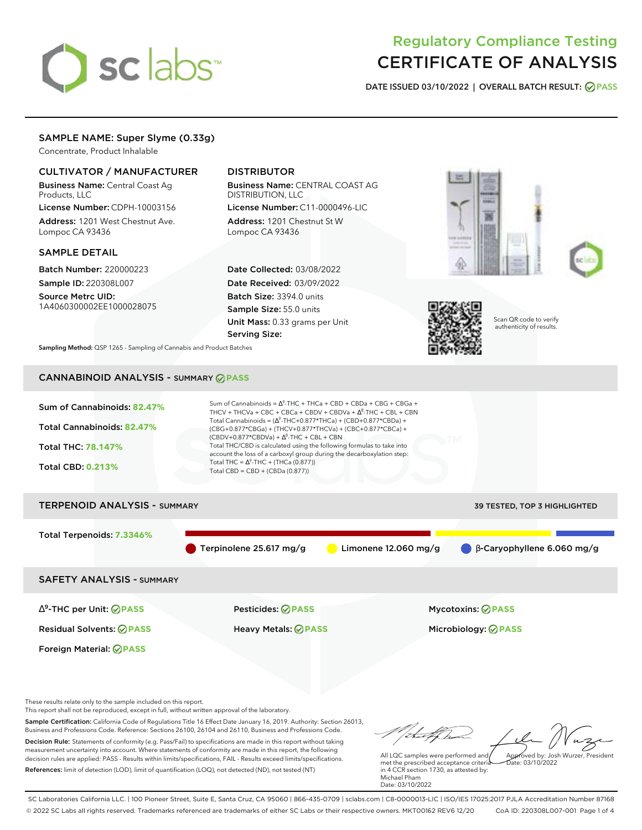# sclabs<sup>\*</sup>

# Regulatory Compliance Testing CERTIFICATE OF ANALYSIS

**DATE ISSUED 03/10/2022 | OVERALL BATCH RESULT: PASS**

# SAMPLE NAME: Super Slyme (0.33g)

Concentrate, Product Inhalable

# CULTIVATOR / MANUFACTURER

Business Name: Central Coast Ag Products, LLC

License Number: CDPH-10003156 Address: 1201 West Chestnut Ave. Lompoc CA 93436

# SAMPLE DETAIL

Batch Number: 220000223 Sample ID: 220308L007

Source Metrc UID: 1A4060300002EE1000028075

# DISTRIBUTOR

Business Name: CENTRAL COAST AG DISTRIBUTION, LLC License Number: C11-0000496-LIC

Address: 1201 Chestnut St W Lompoc CA 93436

Date Collected: 03/08/2022 Date Received: 03/09/2022 Batch Size: 3394.0 units Sample Size: 55.0 units Unit Mass: 0.33 grams per Unit Serving Size:







Scan QR code to verify authenticity of results.

**Sampling Method:** QSP 1265 - Sampling of Cannabis and Product Batches

# CANNABINOID ANALYSIS - SUMMARY **PASS**



These results relate only to the sample included on this report.

This report shall not be reproduced, except in full, without written approval of the laboratory.

Sample Certification: California Code of Regulations Title 16 Effect Date January 16, 2019. Authority: Section 26013, Business and Professions Code. Reference: Sections 26100, 26104 and 26110, Business and Professions Code. Decision Rule: Statements of conformity (e.g. Pass/Fail) to specifications are made in this report without taking measurement uncertainty into account. Where statements of conformity are made in this report, the following decision rules are applied: PASS - Results within limits/specifications, FAIL - Results exceed limits/specifications.

References: limit of detection (LOD), limit of quantification (LOQ), not detected (ND), not tested (NT)

Approved by: Josh Wurzer, President

 $\frac{1}{2}$ ate: 03/10/2022

All LQC samples were performed and met the prescribed acceptance criteria in 4 CCR section 1730, as attested by: Michael Pham Date: 03/10/2022

SC Laboratories California LLC. | 100 Pioneer Street, Suite E, Santa Cruz, CA 95060 | 866-435-0709 | sclabs.com | C8-0000013-LIC | ISO/IES 17025:2017 PJLA Accreditation Number 87168 © 2022 SC Labs all rights reserved. Trademarks referenced are trademarks of either SC Labs or their respective owners. MKT00162 REV6 12/20 CoA ID: 220308L007-001 Page 1 of 4